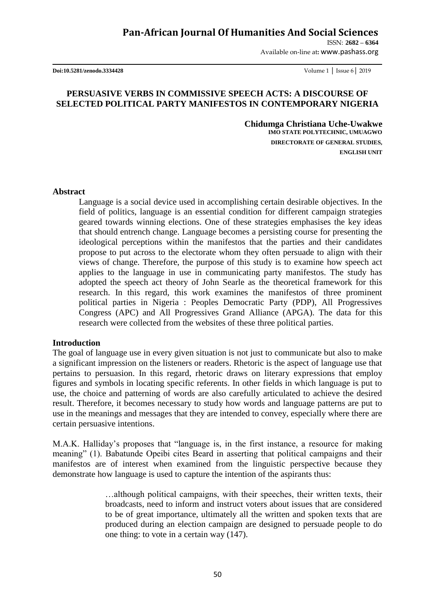## **Pan-African Journal Of Humanities And Social Sciences**

ISSN: **2682 – 6364** Available on-line at**:** www.pashass.org

**Doi:10.5281/zenodo.3334428** Volume 1 │ Issue 6│ 2019

## **PERSUASIVE VERBS IN COMMISSIVE SPEECH ACTS: A DISCOURSE OF SELECTED POLITICAL PARTY MANIFESTOS IN CONTEMPORARY NIGERIA**

 **Chidumga Christiana Uche-Uwakwe IMO STATE POLYTECHNIC, UMUAGWO DIRECTORATE OF GENERAL STUDIES, ENGLISH UNIT**

**Abstract**

Language is a social device used in accomplishing certain desirable objectives. In the field of politics, language is an essential condition for different campaign strategies geared towards winning elections. One of these strategies emphasises the key ideas that should entrench change. Language becomes a persisting course for presenting the ideological perceptions within the manifestos that the parties and their candidates propose to put across to the electorate whom they often persuade to align with their views of change. Therefore, the purpose of this study is to examine how speech act applies to the language in use in communicating party manifestos. The study has adopted the speech act theory of John Searle as the theoretical framework for this research. In this regard, this work examines the manifestos of three prominent political parties in Nigeria : Peoples Democratic Party (PDP), All Progressives Congress (APC) and All Progressives Grand Alliance (APGA). The data for this research were collected from the websites of these three political parties.

#### **Introduction**

The goal of language use in every given situation is not just to communicate but also to make a significant impression on the listeners or readers. Rhetoric is the aspect of language use that pertains to persuasion. In this regard, rhetoric draws on literary expressions that employ figures and symbols in locating specific referents. In other fields in which language is put to use, the choice and patterning of words are also carefully articulated to achieve the desired result. Therefore, it becomes necessary to study how words and language patterns are put to use in the meanings and messages that they are intended to convey, especially where there are certain persuasive intentions.

M.A.K. Halliday"s proposes that "language is, in the first instance, a resource for making meaning" (1). Babatunde Opeibi cites Beard in asserting that political campaigns and their manifestos are of interest when examined from the linguistic perspective because they demonstrate how language is used to capture the intention of the aspirants thus:

> …although political campaigns, with their speeches, their written texts, their broadcasts, need to inform and instruct voters about issues that are considered to be of great importance, ultimately all the written and spoken texts that are produced during an election campaign are designed to persuade people to do one thing: to vote in a certain way (147).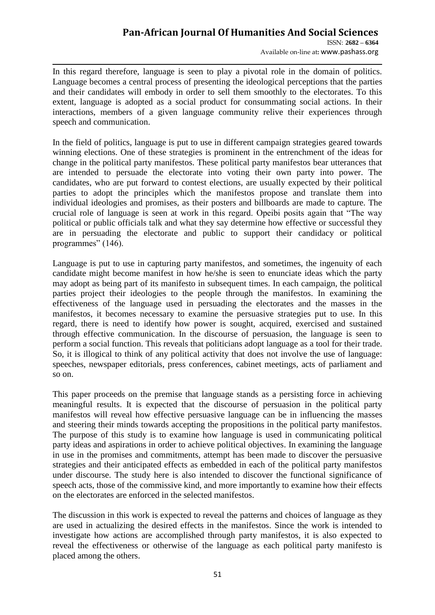# **Pan-African Journal Of Humanities And Social Sciences**  ISSN: **2682 – 6364**

Available on-line at**:** www.pashass.org

In this regard therefore, language is seen to play a pivotal role in the domain of politics. Language becomes a central process of presenting the ideological perceptions that the parties and their candidates will embody in order to sell them smoothly to the electorates. To this extent, language is adopted as a social product for consummating social actions. In their interactions, members of a given language community relive their experiences through speech and communication.

In the field of politics, language is put to use in different campaign strategies geared towards winning elections. One of these strategies is prominent in the entrenchment of the ideas for change in the political party manifestos. These political party manifestos bear utterances that are intended to persuade the electorate into voting their own party into power. The candidates, who are put forward to contest elections, are usually expected by their political parties to adopt the principles which the manifestos propose and translate them into individual ideologies and promises, as their posters and billboards are made to capture. The crucial role of language is seen at work in this regard. Opeibi posits again that "The way political or public officials talk and what they say determine how effective or successful they are in persuading the electorate and public to support their candidacy or political programmes" (146).

Language is put to use in capturing party manifestos, and sometimes, the ingenuity of each candidate might become manifest in how he/she is seen to enunciate ideas which the party may adopt as being part of its manifesto in subsequent times. In each campaign, the political parties project their ideologies to the people through the manifestos. In examining the effectiveness of the language used in persuading the electorates and the masses in the manifestos, it becomes necessary to examine the persuasive strategies put to use. In this regard, there is need to identify how power is sought, acquired, exercised and sustained through effective communication. In the discourse of persuasion, the language is seen to perform a social function. This reveals that politicians adopt language as a tool for their trade. So, it is illogical to think of any political activity that does not involve the use of language: speeches, newspaper editorials, press conferences, cabinet meetings, acts of parliament and so on.

This paper proceeds on the premise that language stands as a persisting force in achieving meaningful results. It is expected that the discourse of persuasion in the political party manifestos will reveal how effective persuasive language can be in influencing the masses and steering their minds towards accepting the propositions in the political party manifestos. The purpose of this study is to examine how language is used in communicating political party ideas and aspirations in order to achieve political objectives. In examining the language in use in the promises and commitments, attempt has been made to discover the persuasive strategies and their anticipated effects as embedded in each of the political party manifestos under discourse. The study here is also intended to discover the functional significance of speech acts, those of the commissive kind, and more importantly to examine how their effects on the electorates are enforced in the selected manifestos.

The discussion in this work is expected to reveal the patterns and choices of language as they are used in actualizing the desired effects in the manifestos. Since the work is intended to investigate how actions are accomplished through party manifestos, it is also expected to reveal the effectiveness or otherwise of the language as each political party manifesto is placed among the others.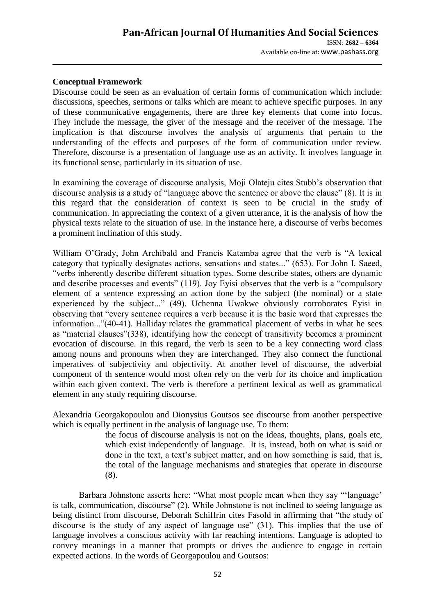### **Conceptual Framework**

Discourse could be seen as an evaluation of certain forms of communication which include: discussions, speeches, sermons or talks which are meant to achieve specific purposes. In any of these communicative engagements, there are three key elements that come into focus. They include the message, the giver of the message and the receiver of the message. The implication is that discourse involves the analysis of arguments that pertain to the understanding of the effects and purposes of the form of communication under review. Therefore, discourse is a presentation of language use as an activity. It involves language in its functional sense, particularly in its situation of use.

In examining the coverage of discourse analysis, Moji Olateju cites Stubb"s observation that discourse analysis is a study of "language above the sentence or above the clause" (8). It is in this regard that the consideration of context is seen to be crucial in the study of communication. In appreciating the context of a given utterance, it is the analysis of how the physical texts relate to the situation of use. In the instance here, a discourse of verbs becomes a prominent inclination of this study.

William O"Grady, John Archibald and Francis Katamba agree that the verb is "A lexical category that typically designates actions, sensations and states..." (653). For John I. Saeed, "verbs inherently describe different situation types. Some describe states, others are dynamic and describe processes and events" (119). Joy Eyisi observes that the verb is a "compulsory element of a sentence expressing an action done by the subject (the nominal) or a state experienced by the subject..." (49). Uchenna Uwakwe obviously corroborates Eyisi in observing that "every sentence requires a verb because it is the basic word that expresses the information..."(40-41). Halliday relates the grammatical placement of verbs in what he sees as "material clauses"(338), identifying how the concept of transitivity becomes a prominent evocation of discourse. In this regard, the verb is seen to be a key connecting word class among nouns and pronouns when they are interchanged. They also connect the functional imperatives of subjectivity and objectivity. At another level of discourse, the adverbial component of th sentence would most often rely on the verb for its choice and implication within each given context. The verb is therefore a pertinent lexical as well as grammatical element in any study requiring discourse.

Alexandria Georgakopoulou and Dionysius Goutsos see discourse from another perspective which is equally pertinent in the analysis of language use. To them:

> the focus of discourse analysis is not on the ideas, thoughts, plans, goals etc, which exist independently of language. It is, instead, both on what is said or done in the text, a text's subject matter, and on how something is said, that is, the total of the language mechanisms and strategies that operate in discourse (8).

Barbara Johnstone asserts here: "What most people mean when they say ""language" is talk, communication, discourse" (2). While Johnstone is not inclined to seeing language as being distinct from discourse, Deborah Schiffrin cites Fasold in affirming that "the study of discourse is the study of any aspect of language use" (31). This implies that the use of language involves a conscious activity with far reaching intentions. Language is adopted to convey meanings in a manner that prompts or drives the audience to engage in certain expected actions. In the words of Georgapoulou and Goutsos: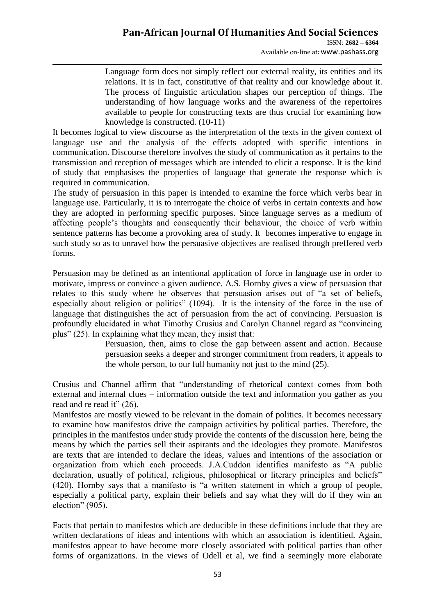Language form does not simply reflect our external reality, its entities and its relations. It is in fact, constitutive of that reality and our knowledge about it. The process of linguistic articulation shapes our perception of things. The understanding of how language works and the awareness of the repertoires available to people for constructing texts are thus crucial for examining how knowledge is constructed. (10-11)

It becomes logical to view discourse as the interpretation of the texts in the given context of language use and the analysis of the effects adopted with specific intentions in communication. Discourse therefore involves the study of communication as it pertains to the transmission and reception of messages which are intended to elicit a response. It is the kind of study that emphasises the properties of language that generate the response which is required in communication.

The study of persuasion in this paper is intended to examine the force which verbs bear in language use. Particularly, it is to interrogate the choice of verbs in certain contexts and how they are adopted in performing specific purposes. Since language serves as a medium of affecting people"s thoughts and consequently their behaviour, the choice of verb within sentence patterns has become a provoking area of study. It becomes imperative to engage in such study so as to unravel how the persuasive objectives are realised through preffered verb forms.

Persuasion may be defined as an intentional application of force in language use in order to motivate, impress or convince a given audience. A.S. Hornby *g*ives a view of persuasion that relates to this study where he observes that persuasion arises out of "a set of beliefs, especially about religion or politics" (1094). It is the intensity of the force in the use of language that distinguishes the act of persuasion from the act of convincing. Persuasion is profoundly elucidated in what Timothy Crusius and Carolyn Channel regard as "convincing plus" (25). In explaining what they mean, they insist that:

Persuasion, then, aims to close the gap between assent and action. Because persuasion seeks a deeper and stronger commitment from readers, it appeals to the whole person, to our full humanity not just to the mind (25).

Crusius and Channel affirm that "understanding of rhetorical context comes from both external and internal clues – information outside the text and information you gather as you read and re read it" (26).

Manifestos are mostly viewed to be relevant in the domain of politics. It becomes necessary to examine how manifestos drive the campaign activities by political parties. Therefore, the principles in the manifestos under study provide the contents of the discussion here, being the means by which the parties sell their aspirants and the ideologies they promote. Manifestos are texts that are intended to declare the ideas, values and intentions of the association or organization from which each proceeds. J.A.Cuddon identifies manifesto as "A public declaration, usually of political, religious, philosophical or literary principles and beliefs" (420). Hornby says that a manifesto is "a written statement in which a group of people, especially a political party, explain their beliefs and say what they will do if they win an election" (905).

Facts that pertain to manifestos which are deducible in these definitions include that they are written declarations of ideas and intentions with which an association is identified. Again, manifestos appear to have become more closely associated with political parties than other forms of organizations. In the views of Odell et al, we find a seemingly more elaborate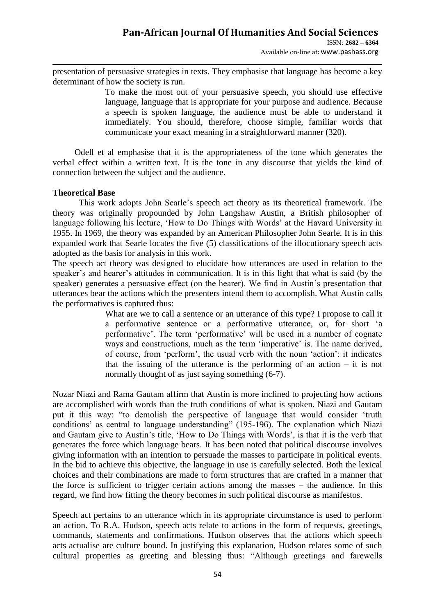Available on-line at**:** www.pashass.org

presentation of persuasive strategies in texts. They emphasise that language has become a key determinant of how the society is run.

> To make the most out of your persuasive speech, you should use effective language, language that is appropriate for your purpose and audience. Because a speech is spoken language, the audience must be able to understand it immediately. You should, therefore, choose simple, familiar words that communicate your exact meaning in a straightforward manner (320).

 Odell et al emphasise that it is the appropriateness of the tone which generates the verbal effect within a written text. It is the tone in any discourse that yields the kind of connection between the subject and the audience.

#### **Theoretical Base**

This work adopts John Searle"s speech act theory as its theoretical framework. The theory was originally propounded by John Langshaw Austin, a British philosopher of language following his lecture, 'How to Do Things with Words' at the Havard University in 1955. In 1969, the theory was expanded by an American Philosopher John Searle. It is in this expanded work that Searle locates the five (5) classifications of the illocutionary speech acts adopted as the basis for analysis in this work.

The speech act theory was designed to elucidate how utterances are used in relation to the speaker's and hearer's attitudes in communication. It is in this light that what is said (by the speaker) generates a persuasive effect (on the hearer). We find in Austin's presentation that utterances bear the actions which the presenters intend them to accomplish. What Austin calls the performatives is captured thus:

> What are we to call a sentence or an utterance of this type? I propose to call it a performative sentence or a performative utterance, or, for short "a performative". The term "performative" will be used in a number of cognate ways and constructions, much as the term 'imperative' is. The name derived, of course, from "perform", the usual verb with the noun "action": it indicates that the issuing of the utterance is the performing of an action  $-$  it is not normally thought of as just saying something  $(6-7)$ .

Nozar Niazi and Rama Gautam affirm that Austin is more inclined to projecting how actions are accomplished with words than the truth conditions of what is spoken. Niazi and Gautam put it this way: "to demolish the perspective of language that would consider "truth conditions" as central to language understanding" (195-196). The explanation which Niazi and Gautam give to Austin's title, 'How to Do Things with Words', is that it is the verb that generates the force which language bears. It has been noted that political discourse involves giving information with an intention to persuade the masses to participate in political events. In the bid to achieve this objective, the language in use is carefully selected. Both the lexical choices and their combinations are made to form structures that are crafted in a manner that the force is sufficient to trigger certain actions among the masses – the audience. In this regard, we find how fitting the theory becomes in such political discourse as manifestos.

Speech act pertains to an utterance which in its appropriate circumstance is used to perform an action. To R.A. Hudson, speech acts relate to actions in the form of requests, greetings, commands, statements and confirmations. Hudson observes that the actions which speech acts actualise are culture bound. In justifying this explanation, Hudson relates some of such cultural properties as greeting and blessing thus: "Although greetings and farewells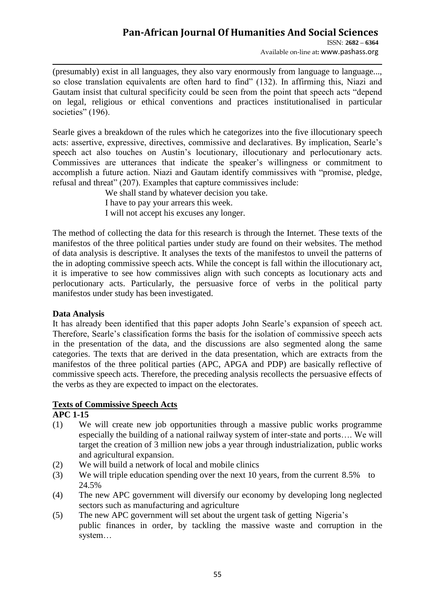Available on-line at**:** www.pashass.org

(presumably) exist in all languages, they also vary enormously from language to language..., so close translation equivalents are often hard to find" (132). In affirming this, Niazi and Gautam insist that cultural specificity could be seen from the point that speech acts "depend on legal, religious or ethical conventions and practices institutionalised in particular societies" (196).

Searle gives a breakdown of the rules which he categorizes into the five illocutionary speech acts: assertive, expressive, directives, commissive and declaratives. By implication, Searle"s speech act also touches on Austin's locutionary, illocutionary and perlocutionary acts. Commissives are utterances that indicate the speaker"s willingness or commitment to accomplish a future action. Niazi and Gautam identify commissives with "promise, pledge, refusal and threat" (207). Examples that capture commissives include:

> We shall stand by whatever decision you take. I have to pay your arrears this week. I will not accept his excuses any longer.

The method of collecting the data for this research is through the Internet. These texts of the manifestos of the three political parties under study are found on their websites. The method of data analysis is descriptive. It analyses the texts of the manifestos to unveil the patterns of the in adopting commissive speech acts. While the concept is fall within the illocutionary act, it is imperative to see how commissives align with such concepts as locutionary acts and perlocutionary acts. Particularly, the persuasive force of verbs in the political party manifestos under study has been investigated.

## **Data Analysis**

It has already been identified that this paper adopts John Searle"s expansion of speech act. Therefore, Searle"s classification forms the basis for the isolation of commissive speech acts in the presentation of the data, and the discussions are also segmented along the same categories. The texts that are derived in the data presentation, which are extracts from the manifestos of the three political parties (APC, APGA and PDP) are basically reflective of commissive speech acts. Therefore, the preceding analysis recollects the persuasive effects of the verbs as they are expected to impact on the electorates.

## **Texts of Commissive Speech Acts**

## **APC 1-15**

- (1) We will create new job opportunities through a massive public works programme especially the building of a national railway system of inter-state and ports…. We will target the creation of 3 million new jobs a year through industrialization, public works and agricultural expansion.
- (2) We will build a network of local and mobile clinics
- (3) We will triple education spending over the next 10 years, from the current 8.5% to 24.5%
- (4) The new APC government will diversify our economy by developing long neglected sectors such as manufacturing and agriculture
- (5) The new APC government will set about the urgent task of getting Nigeria"s public finances in order, by tackling the massive waste and corruption in the system…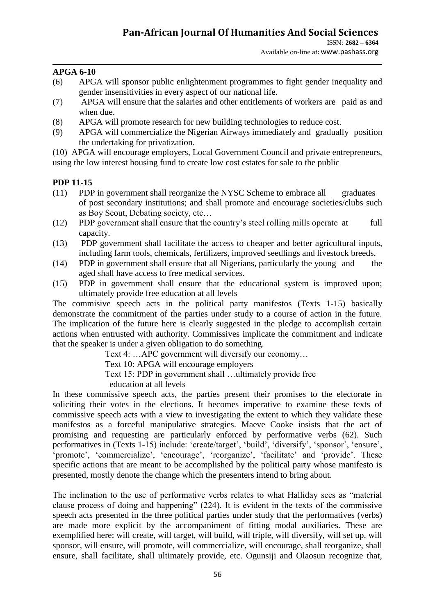#### **APGA 6-10**

- (6) APGA will sponsor public enlightenment programmes to fight gender inequality and gender insensitivities in every aspect of our national life.
- (7) APGA will ensure that the salaries and other entitlements of workers are paid as and when due.
- (8) APGA will promote research for new building technologies to reduce cost.
- (9) APGA will commercialize the Nigerian Airways immediately and gradually position the undertaking for privatization.

(10) APGA will encourage employers, Local Government Council and private entrepreneurs, using the low interest housing fund to create low cost estates for sale to the public

#### **PDP 11-15**

- (11) PDP in government shall reorganize the NYSC Scheme to embrace all graduates of post secondary institutions; and shall promote and encourage societies/clubs such as Boy Scout, Debating society, etc…
- (12) PDP government shall ensure that the country"s steel rolling mills operate at full capacity.
- (13) PDP government shall facilitate the access to cheaper and better agricultural inputs, including farm tools, chemicals, fertilizers, improved seedlings and livestock breeds.
- (14) PDP in government shall ensure that all Nigerians, particularly the young and the aged shall have access to free medical services.
- (15) PDP in government shall ensure that the educational system is improved upon; ultimately provide free education at all levels

The commisive speech acts in the political party manifestos (Texts 1-15) basically demonstrate the commitment of the parties under study to a course of action in the future. The implication of the future here is clearly suggested in the pledge to accomplish certain actions when entrusted with authority. Commissives implicate the commitment and indicate that the speaker is under a given obligation to do something.

Text 4: …APC government will diversify our economy…

Text 10: APGA will encourage employers

Text 15: PDP in government shall …ultimately provide free

education at all levels

In these commissive speech acts, the parties present their promises to the electorate in soliciting their votes in the elections. It becomes imperative to examine these texts of commissive speech acts with a view to investigating the extent to which they validate these manifestos as a forceful manipulative strategies. Maeve Cooke insists that the act of promising and requesting are particularly enforced by performative verbs (62). Such performatives in (Texts 1-15) include: 'create/target', 'build', 'diversify', 'sponsor', 'ensure', 'promote', 'commercialize', 'encourage', 'reorganize', 'facilitate' and 'provide'. These specific actions that are meant to be accomplished by the political party whose manifesto is presented, mostly denote the change which the presenters intend to bring about.

The inclination to the use of performative verbs relates to what Halliday sees as "material clause process of doing and happening" (224). It is evident in the texts of the commissive speech acts presented in the three political parties under study that the performatives (verbs) are made more explicit by the accompaniment of fitting modal auxiliaries. These are exemplified here: will create, will target, will build, will triple, will diversify, will set up, will sponsor, will ensure, will promote, will commercialize, will encourage, shall reorganize, shall ensure, shall facilitate, shall ultimately provide, etc. Ogunsiji and Olaosun recognize that,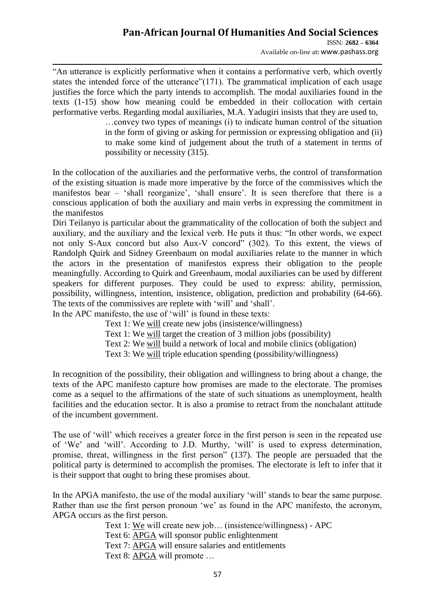"An utterance is explicitly performative when it contains a performative verb, which overtly states the intended force of the utterance"(171). The grammatical implication of each usage justifies the force which the party intends to accomplish. The modal auxiliaries found in the texts (1-15) show how meaning could be embedded in their collocation with certain performative verbs. Regarding modal auxiliaries, M.A. Yadugiri insists that they are used to,

> …convey two types of meanings (i) to indicate human control of the situation in the form of giving or asking for permission or expressing obligation and (ii) to make some kind of judgement about the truth of a statement in terms of possibility or necessity (315).

In the collocation of the auxiliaries and the performative verbs, the control of transformation of the existing situation is made more imperative by the force of the commissives which the manifestos bear – 'shall reorganize', 'shall ensure'. It is seen therefore that there is a conscious application of both the auxiliary and main verbs in expressing the commitment in the manifestos

Diri Teilanyo is particular about the grammaticality of the collocation of both the subject and auxiliary, and the auxiliary and the lexical verb. He puts it thus: "In other words, we expect not only S-Aux concord but also Aux-V concord" (302). To this extent, the views of Randolph Quirk and Sidney Greenbaum on modal auxiliaries relate to the manner in which the actors in the presentation of manifestos express their obligation to the people meaningfully. According to Quirk and Greenbaum, modal auxiliaries can be used by different speakers for different purposes. They could be used to express: ability, permission, possibility, willingness, intention, insistence, obligation, prediction and probability (64-66). The texts of the commissives are replete with 'will' and 'shall'.

In the APC manifesto, the use of 'will' is found in these texts:

Text 1: We will create new jobs (insistence/willingness)

Text 1: We will target the creation of 3 million jobs (possibility)

Text 2: We will build a network of local and mobile clinics (obligation)

Text 3: We will triple education spending (possibility/willingness)

In recognition of the possibility, their obligation and willingness to bring about a change, the texts of the APC manifesto capture how promises are made to the electorate. The promises come as a sequel to the affirmations of the state of such situations as unemployment, health facilities and the education sector. It is also a promise to retract from the nonchalant attitude of the incumbent government.

The use of "will" which receives a greater force in the first person is seen in the repeated use of "We" and "will". According to J.D. Murthy, "will" is used to express determination, promise, threat, willingness in the first person<sup>"</sup> (137). The people are persuaded that the political party is determined to accomplish the promises. The electorate is left to infer that it is their support that ought to bring these promises about.

In the APGA manifesto, the use of the modal auxiliary 'will' stands to bear the same purpose. Rather than use the first person pronoun 'we' as found in the APC manifesto, the acronym, APGA occurs as the first person.

Text 1: We will create new job… (insistence/willingness) - APC Text 6: APGA will sponsor public enlightenment Text 7: APGA will ensure salaries and entitlements Text 8: APGA will promote …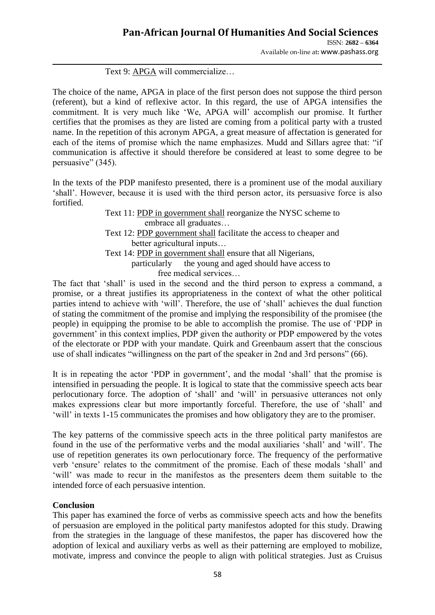Available on-line at**:** www.pashass.org

### Text 9: APGA will commercialize…

The choice of the name, APGA in place of the first person does not suppose the third person (referent), but a kind of reflexive actor. In this regard, the use of APGA intensifies the commitment. It is very much like "We, APGA will" accomplish our promise. It further certifies that the promises as they are listed are coming from a political party with a trusted name. In the repetition of this acronym APGA, a great measure of affectation is generated for each of the items of promise which the name emphasizes. Mudd and Sillars agree that: "if communication is affective it should therefore be considered at least to some degree to be persuasive" (345).

In the texts of the PDP manifesto presented, there is a prominent use of the modal auxiliary "shall". However, because it is used with the third person actor, its persuasive force is also fortified.

> Text 11: PDP in government shall reorganize the NYSC scheme to embrace all graduates… Text 12: PDP government shall facilitate the access to cheaper and better agricultural inputs… Text 14: PDP in government shall ensure that all Nigerians, particularly the young and aged should have access to free medical services…

The fact that "shall" is used in the second and the third person to express a command, a promise, or a threat justifies its appropriateness in the context of what the other political parties intend to achieve with 'will'. Therefore, the use of 'shall' achieves the dual function of stating the commitment of the promise and implying the responsibility of the promisee (the people) in equipping the promise to be able to accomplish the promise. The use of "PDP in government" in this context implies, PDP given the authority or PDP empowered by the votes of the electorate or PDP with your mandate. Quirk and Greenbaum assert that the conscious use of shall indicates "willingness on the part of the speaker in 2nd and 3rd persons" (66).

It is in repeating the actor 'PDP in government', and the modal 'shall' that the promise is intensified in persuading the people. It is logical to state that the commissive speech acts bear perlocutionary force. The adoption of "shall" and "will" in persuasive utterances not only makes expressions clear but more importantly forceful. Therefore, the use of "shall" and "will" in texts 1-15 communicates the promises and how obligatory they are to the promiser.

The key patterns of the commissive speech acts in the three political party manifestos are found in the use of the performative verbs and the modal auxiliaries "shall" and "will". The use of repetition generates its own perlocutionary force. The frequency of the performative verb "ensure" relates to the commitment of the promise. Each of these modals "shall" and "will" was made to recur in the manifestos as the presenters deem them suitable to the intended force of each persuasive intention.

#### **Conclusion**

This paper has examined the force of verbs as commissive speech acts and how the benefits of persuasion are employed in the political party manifestos adopted for this study. Drawing from the strategies in the language of these manifestos, the paper has discovered how the adoption of lexical and auxiliary verbs as well as their patterning are employed to mobilize, motivate, impress and convince the people to align with political strategies. Just as Cruisus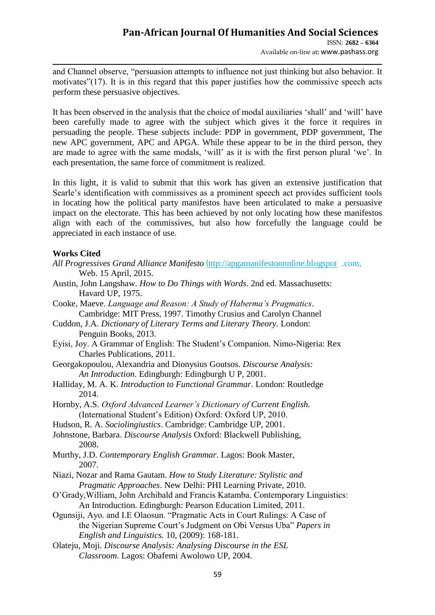and Channel observe, "persuasion attempts to influence not just thinking but also behavior. It motivates"(17). It is in this regard that this paper justifies how the commissive speech acts perform these persuasive objectives.

It has been observed in the analysis that the choice of modal auxiliaries "shall" and "will" have been carefully made to agree with the subject which gives it the force it requires in persuading the people. These subjects include: PDP in government, PDP government, The new APC government, APC and APGA. While these appear to be in the third person, they are made to agree with the same modals, 'will' as it is with the first person plural 'we'. In each presentation, the same force of commitment is realized.

In this light, it is valid to submit that this work has given an extensive justification that Searle"s identification with commissives as a prominent speech act provides sufficient tools in locating how the political party manifestos have been articulated to make a persuasive impact on the electorate. This has been achieved by not only locating how these manifestos align with each of the commissives, but also how forcefully the language could be appreciated in each instance of use.

#### **Works Cited**

- *All Progressives Grand Alliance Manifesto* [http://apgamanifestoonnline.blogspot](http://apgamanifestoonnline.blogspot/) .com, Web. 15 April, 2015.
- Austin, John Langshaw. *How to Do Things with Words*. 2nd ed. Massachusetts: Havard UP, 1975.
- Cooke, Maeve. *Language and Reason: A Study of Haberma's Pragmatics*. Cambridge: MIT Press, 1997. Timothy Crusius and Carolyn Channel
- Cuddon, J.A*. Dictionary of Literary Terms and Literary Theory.* London: Penguin Books, 2013.
- Eyisi, Joy. A Grammar of English: The Student"s Companion. Nimo-Nigeria: Rex Charles Publications, 2011.
- Georgakopoulou, Alexandria and Dionysius Goutsos. *Discourse Analysis: An Introduction*. Edingburgh: Edingburgh U P, 2001.
- Halliday, M. A. K. *Introduction to Functional Grammar*. London: Routledge 2014.
- Hornby, A.S. *Oxford Advanced Learner's Dictionary of Current English.* (International Student"s Edition) Oxford: Oxford UP, 2010.
- Hudson, R. A. *Sociolingiustics*. Cambridge: Cambridge UP, 2001.
- Johnstone, Barbara. *Discourse Analysis* Oxford: Blackwell Publishing, 2008.
- Murthy, J.D. *Contemporary English Grammar*. Lagos: Book Master, 2007.
- Niazi, Nozar and Rama Gautam. *How to Study Literature: Stylistic and Pragmatic Approaches*. New Delhi: PHI Learning Private, 2010.
- O"Grady,William, John Archibald and Francis Katamba. Contemporary Linguistics: An Introduction. Edingburgh: Pearson Education Limited, 2011.
- Ogunsiji, Ayo. and I.E Olaosun. "Pragmatic Acts in Court Rulings: A Case of the Nigerian Supreme Court"s Judgment on Obi Versus Uba" *Papers in English and Linguistics.* 10, (2009): 168-181.
- Olateju, Moji. *Discourse Analysis: Analysing Discourse in the ESL Classroom*. Lagos: Obafemi Awolowo UP, 2004.